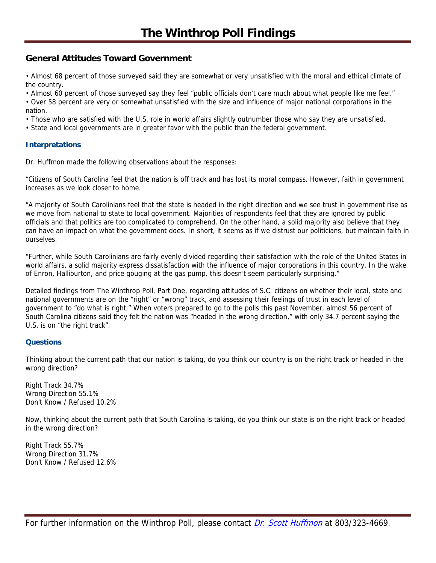# **General Attitudes Toward Government**

• Almost 68 percent of those surveyed said they are somewhat or very unsatisfied with the moral and ethical climate of the country.

• Almost 60 percent of those surveyed say they feel "public officials don't care much about what people like me feel."

• Over 58 percent are very or somewhat unsatisfied with the size and influence of major national corporations in the nation.

• Those who are satisfied with the U.S. role in world affairs slightly outnumber those who say they are unsatisfied.

• State and local governments are in greater favor with the public than the federal government.

# **Interpretations**

Dr. Huffmon made the following observations about the responses:

"Citizens of South Carolina feel that the nation is off track and has lost its moral compass. However, faith in government increases as we look closer to home.

"A majority of South Carolinians feel that the state is headed in the right direction and we see trust in government rise as we move from national to state to local government. Majorities of respondents feel that they are ignored by public officials and that politics are too complicated to comprehend. On the other hand, a solid majority also believe that they can have an impact on what the government does. In short, it seems as if we distrust our politicians, but maintain faith in ourselves.

"Further, while South Carolinians are fairly evenly divided regarding their satisfaction with the role of the United States in world affairs, a solid majority express dissatisfaction with the influence of major corporations in this country. In the wake of Enron, Halliburton, and price gouging at the gas pump, this doesn't seem particularly surprising."

Detailed findings from The Winthrop Poll, Part One, regarding attitudes of S.C. citizens on whether their local, state and national governments are on the "right" or "wrong" track, and assessing their feelings of trust in each level of government to "do what is right," When voters prepared to go to the polls this past November, almost 56 percent of South Carolina citizens said they felt the nation was "headed in the wrong direction," with only 34.7 percent saying the U.S. is on "the right track".

# **Questions**

Thinking about the current path that our nation is taking, do you think our country is on the right track or headed in the wrong direction?

Right Track 34.7% Wrong Direction 55.1% Don't Know / Refused 10.2%

Now, thinking about the current path that South Carolina is taking, do you think our state is on the right track or headed in the wrong direction?

Right Track 55.7% Wrong Direction 31.7% Don't Know / Refused 12.6%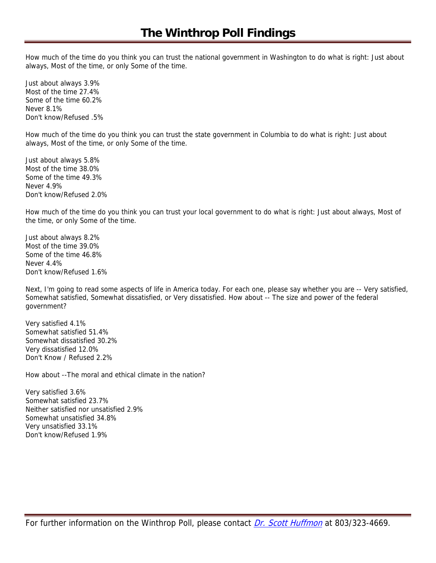How much of the time do you think you can trust the national government in Washington to do what is right: Just about always, Most of the time, or only Some of the time.

Just about always 3.9% Most of the time 27.4% Some of the time 60.2% Never 8.1% Don't know/Refused .5%

How much of the time do you think you can trust the state government in Columbia to do what is right: Just about always, Most of the time, or only Some of the time.

Just about always 5.8% Most of the time 38.0% Some of the time 49.3% Never 4.9% Don't know/Refused 2.0%

How much of the time do you think you can trust your local government to do what is right: Just about always, Most of the time, or only Some of the time.

Just about always 8.2% Most of the time 39.0% Some of the time 46.8% Never 4.4% Don't know/Refused 1.6%

Next, I'm going to read some aspects of life in America today. For each one, please say whether you are -- Very satisfied, Somewhat satisfied, Somewhat dissatisfied, or Very dissatisfied. How about -- The size and power of the federal government?

Very satisfied 4.1% Somewhat satisfied 51.4% Somewhat dissatisfied 30.2% Very dissatisfied 12.0% Don't Know / Refused 2.2%

How about --The moral and ethical climate in the nation?

Very satisfied 3.6% Somewhat satisfied 23.7% Neither satisfied nor unsatisfied 2.9% Somewhat unsatisfied 34.8% Very unsatisfied 33.1% Don't know/Refused 1.9%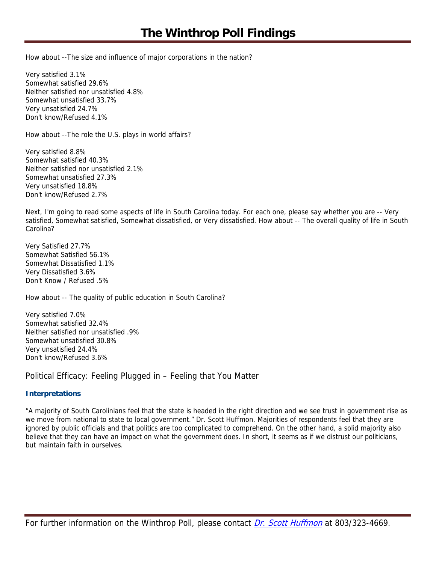How about --The size and influence of major corporations in the nation?

Very satisfied 3.1% Somewhat satisfied 29.6% Neither satisfied nor unsatisfied 4.8% Somewhat unsatisfied 33.7% Very unsatisfied 24.7% Don't know/Refused 4.1%

How about --The role the U.S. plays in world affairs?

Very satisfied 8.8% Somewhat satisfied 40.3% Neither satisfied nor unsatisfied 2.1% Somewhat unsatisfied 27.3% Very unsatisfied 18.8% Don't know/Refused 2.7%

Next, I'm going to read some aspects of life in South Carolina today. For each one, please say whether you are -- Very satisfied, Somewhat satisfied, Somewhat dissatisfied, or Very dissatisfied. How about -- The overall quality of life in South Carolina?

Very Satisfied 27.7% Somewhat Satisfied 56.1% Somewhat Dissatisfied 1.1% Very Dissatisfied 3.6% Don't Know / Refused .5%

How about -- The quality of public education in South Carolina?

Very satisfied 7.0% Somewhat satisfied 32.4% Neither satisfied nor unsatisfied .9% Somewhat unsatisfied 30.8% Very unsatisfied 24.4% Don't know/Refused 3.6%

Political Efficacy: Feeling Plugged in – Feeling that You Matter

# **Interpretations**

"A majority of South Carolinians feel that the state is headed in the right direction and we see trust in government rise as we move from national to state to local government." Dr. Scott Huffmon. Majorities of respondents feel that they are ignored by public officials and that politics are too complicated to comprehend. On the other hand, a solid majority also believe that they can have an impact on what the government does. In short, it seems as if we distrust our politicians, but maintain faith in ourselves.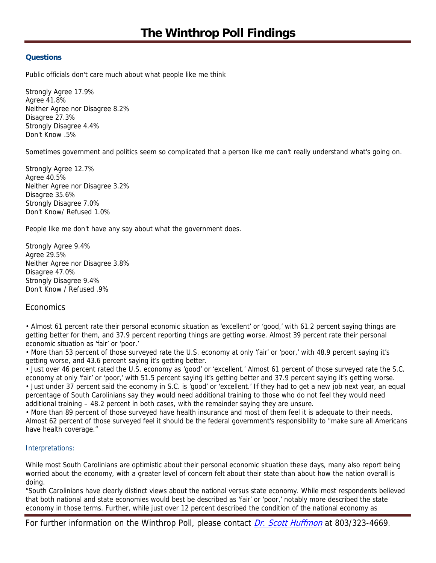# **Questions**

Public officials don't care much about what people like me think

Strongly Agree 17.9% Agree 41.8% Neither Agree nor Disagree 8.2% Disagree 27.3% Strongly Disagree 4.4% Don't Know .5%

Sometimes government and politics seem so complicated that a person like me can't really understand what's going on.

Strongly Agree 12.7% Agree 40.5% Neither Agree nor Disagree 3.2% Disagree 35.6% Strongly Disagree 7.0% Don't Know/ Refused 1.0%

People like me don't have any say about what the government does.

Strongly Agree 9.4% Agree 29.5% Neither Agree nor Disagree 3.8% Disagree 47.0% Strongly Disagree 9.4% Don't Know / Refused .9%

# Economics

• Almost 61 percent rate their personal economic situation as 'excellent' or 'good,' with 61.2 percent saying things are getting better for them, and 37.9 percent reporting things are getting worse. Almost 39 percent rate their personal economic situation as 'fair' or 'poor.'

• More than 53 percent of those surveyed rate the U.S. economy at only 'fair' or 'poor,' with 48.9 percent saying it's getting worse, and 43.6 percent saying it's getting better.

• Just over 46 percent rated the U.S. economy as 'good' or 'excellent.' Almost 61 percent of those surveyed rate the S.C. economy at only 'fair' or 'poor,' with 51.5 percent saying it's getting better and 37.9 percent saying it's getting worse. • Just under 37 percent said the economy in S.C. is 'good' or 'excellent.' If they had to get a new job next year, an equal percentage of South Carolinians say they would need additional training to those who do not feel they would need additional training – 48.2 percent in both cases, with the remainder saying they are unsure.

• More than 89 percent of those surveyed have health insurance and most of them feel it is adequate to their needs. Almost 62 percent of those surveyed feel it should be the federal government's responsibility to "make sure all Americans have health coverage."

# Interpretations:

While most South Carolinians are optimistic about their personal economic situation these days, many also report being worried about the economy, with a greater level of concern felt about their state than about how the nation overall is doing.

"South Carolinians have clearly distinct views about the national versus state economy. While most respondents believed that both national and state economies would best be described as 'fair' or 'poor,' notably more described the state economy in those terms. Further, while just over 12 percent described the condition of the national economy as

For further information on the Winthrop Poll, please contact *Dr. Scott Huffmon* at 803/323-4669.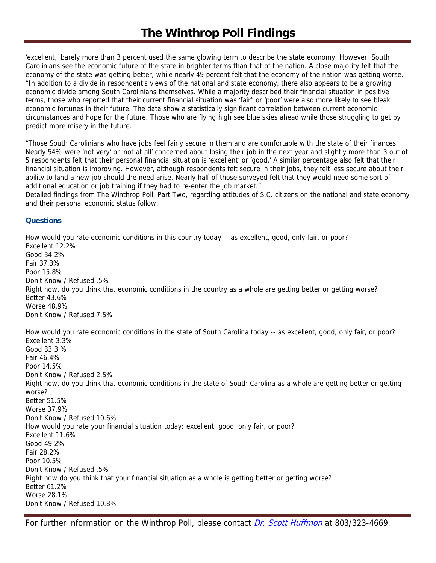'excellent,' barely more than 3 percent used the same glowing term to describe the state economy. However, South Carolinians see the economic future of the state in brighter terms than that of the nation. A close majority felt that the economy of the state was getting better, while nearly 49 percent felt that the economy of the nation was getting worse. "In addition to a divide in respondent's views of the national and state economy, there also appears to be a growing economic divide among South Carolinians themselves. While a majority described their financial situation in positive terms, those who reported that their current financial situation was 'fair" or 'poor' were also more likely to see bleak economic fortunes in their future. The data show a statistically significant correlation between current economic circumstances and hope for the future. Those who are flying high see blue skies ahead while those struggling to get by predict more misery in the future.

"Those South Carolinians who have jobs feel fairly secure in them and are comfortable with the state of their finances. Nearly 54% were 'not very' or 'not at all' concerned about losing their job in the next year and slightly more than 3 out of 5 respondents felt that their personal financial situation is 'excellent' or 'good.' A similar percentage also felt that their financial situation is improving. However, although respondents felt secure in their jobs, they felt less secure about their ability to land a new job should the need arise. Nearly half of those surveyed felt that they would need some sort of additional education or job training if they had to re-enter the job market."

Detailed findings from The Winthrop Poll, Part Two, regarding attitudes of S.C. citizens on the national and state economy and their personal economic status follow.

#### **Questions**

How would you rate economic conditions in this country today -- as excellent, good, only fair, or poor? Excellent 12.2% Good 34.2% Fair 37.3% Poor 15.8% Don't Know / Refused .5% Right now, do you think that economic conditions in the country as a whole are getting better or getting worse? Better 43.6% Worse 48.9% Don't Know / Refused 7.5%

How would you rate economic conditions in the state of South Carolina today -- as excellent, good, only fair, or poor? Excellent 3.3% Good 33.3 % Fair 46.4% Poor 14.5% Don't Know / Refused 2.5% Right now, do you think that economic conditions in the state of South Carolina as a whole are getting better or getting worse? Better 51.5% Worse 37.9% Don't Know / Refused 10.6% How would you rate your financial situation today: excellent, good, only fair, or poor? Excellent 11.6% Good 49.2% Fair 28.2% Poor 10.5% Don't Know / Refused .5% Right now do you think that your financial situation as a whole is getting better or getting worse? Better 61.2% Worse 28.1% Don't Know / Refused 10.8%

For further information on the Winthrop Poll, please contact *Dr. Scott Huffmon* at 803/323-4669.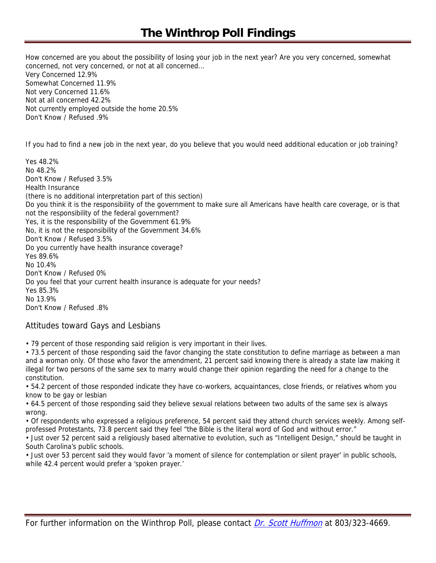# **The Winthrop Poll Findings**

How concerned are you about the possibility of losing your job in the next year? Are you very concerned, somewhat concerned, not very concerned, or not at all concerned... Very Concerned 12.9% Somewhat Concerned 11.9% Not very Concerned 11.6% Not at all concerned 42.2% Not currently employed outside the home 20.5% Don't Know / Refused .9%

If you had to find a new job in the next year, do you believe that you would need additional education or job training?

Yes 48.2% No 48.2% Don't Know / Refused 3.5% Health Insurance (there is no additional interpretation part of this section) Do you think it is the responsibility of the government to make sure all Americans have health care coverage, or is that not the responsibility of the federal government? Yes, it is the responsibility of the Government 61.9% No, it is not the responsibility of the Government 34.6% Don't Know / Refused 3.5% Do you currently have health insurance coverage? Yes 89.6% No 10.4% Don't Know / Refused 0% Do you feel that your current health insurance is adequate for your needs? Yes 85.3% No 13.9% Don't Know / Refused .8%

# Attitudes toward Gays and Lesbians

• 79 percent of those responding said religion is very important in their lives.

• 73.5 percent of those responding said the favor changing the state constitution to define marriage as between a man and a woman only. Of those who favor the amendment, 21 percent said knowing there is already a state law making it illegal for two persons of the same sex to marry would change their opinion regarding the need for a change to the constitution.

• 54.2 percent of those responded indicate they have co-workers, acquaintances, close friends, or relatives whom you know to be gay or lesbian

• 64.5 percent of those responding said they believe sexual relations between two adults of the same sex is always wrong.

• Of respondents who expressed a religious preference, 54 percent said they attend church services weekly. Among selfprofessed Protestants, 73.8 percent said they feel "the Bible is the literal word of God and without error."

• Just over 52 percent said a religiously based alternative to evolution, such as "Intelligent Design," should be taught in South Carolina's public schools.

• Just over 53 percent said they would favor 'a moment of silence for contemplation or silent prayer' in public schools, while 42.4 percent would prefer a 'spoken prayer.'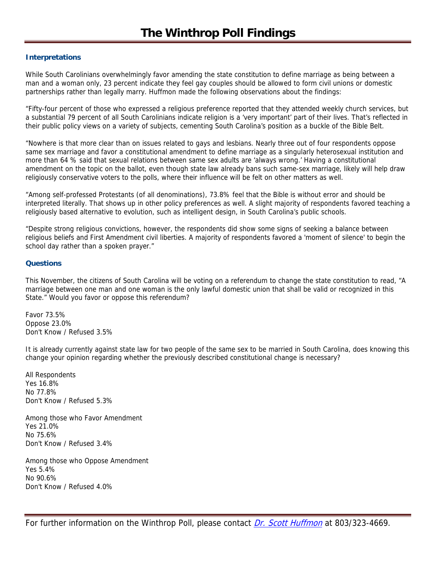# **Interpretations**

While South Carolinians overwhelmingly favor amending the state constitution to define marriage as being between a man and a woman only, 23 percent indicate they feel gay couples should be allowed to form civil unions or domestic partnerships rather than legally marry. Huffmon made the following observations about the findings:

"Fifty-four percent of those who expressed a religious preference reported that they attended weekly church services, but a substantial 79 percent of all South Carolinians indicate religion is a 'very important' part of their lives. That's reflected in their public policy views on a variety of subjects, cementing South Carolina's position as a buckle of the Bible Belt.

"Nowhere is that more clear than on issues related to gays and lesbians. Nearly three out of four respondents oppose same sex marriage and favor a constitutional amendment to define marriage as a singularly heterosexual institution and more than 64 % said that sexual relations between same sex adults are 'always wrong.' Having a constitutional amendment on the topic on the ballot, even though state law already bans such same-sex marriage, likely will help draw religiously conservative voters to the polls, where their influence will be felt on other matters as well.

"Among self-professed Protestants (of all denominations), 73.8% feel that the Bible is without error and should be interpreted literally. That shows up in other policy preferences as well. A slight majority of respondents favored teaching a religiously based alternative to evolution, such as intelligent design, in South Carolina's public schools.

"Despite strong religious convictions, however, the respondents did show some signs of seeking a balance between religious beliefs and First Amendment civil liberties. A majority of respondents favored a 'moment of silence' to begin the school day rather than a spoken prayer."

#### **Questions**

This November, the citizens of South Carolina will be voting on a referendum to change the state constitution to read, "A marriage between one man and one woman is the only lawful domestic union that shall be valid or recognized in this State." Would you favor or oppose this referendum?

Favor 73.5% Oppose 23.0% Don't Know / Refused 3.5%

It is already currently against state law for two people of the same sex to be married in South Carolina, does knowing this change your opinion regarding whether the previously described constitutional change is necessary?

All Respondents Yes 16.8% No 77.8% Don't Know / Refused 5.3%

Among those who Favor Amendment Yes 21.0% No 75.6% Don't Know / Refused 3.4%

Among those who Oppose Amendment Yes 5.4% No 90.6% Don't Know / Refused 4.0%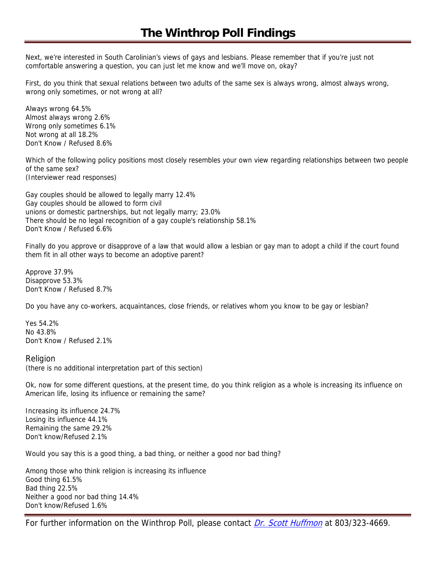Next, we're interested in South Carolinian's views of gays and lesbians. Please remember that if you're just not comfortable answering a question, you can just let me know and we'll move on, okay?

First, do you think that sexual relations between two adults of the same sex is always wrong, almost always wrong, wrong only sometimes, or not wrong at all?

Always wrong 64.5% Almost always wrong 2.6% Wrong only sometimes 6.1% Not wrong at all 18.2% Don't Know / Refused 8.6%

Which of the following policy positions most closely resembles your own view regarding relationships between two people of the same sex? (Interviewer read responses)

Gay couples should be allowed to legally marry 12.4% Gay couples should be allowed to form civil unions or domestic partnerships, but not legally marry; 23.0% There should be no legal recognition of a gay couple's relationship 58.1% Don't Know / Refused 6.6%

Finally do you approve or disapprove of a law that would allow a lesbian or gay man to adopt a child if the court found them fit in all other ways to become an adoptive parent?

Approve 37.9% Disapprove 53.3% Don't Know / Refused 8.7%

Do you have any co-workers, acquaintances, close friends, or relatives whom you know to be gay or lesbian?

Yes 54.2% No 43.8% Don't Know / Refused 2.1%

#### Religion

(there is no additional interpretation part of this section)

Ok, now for some different questions, at the present time, do you think religion as a whole is increasing its influence on American life, losing its influence or remaining the same?

Increasing its influence 24.7% Losing its influence 44.1% Remaining the same 29.2% Don't know/Refused 2.1%

Would you say this is a good thing, a bad thing, or neither a good nor bad thing?

Among those who think religion is increasing its influence Good thing 61.5% Bad thing 22.5% Neither a good nor bad thing 14.4% Don't know/Refused 1.6%

For further information on the Winthrop Poll, please contact *Dr. Scott Huffmon* at 803/323-4669.